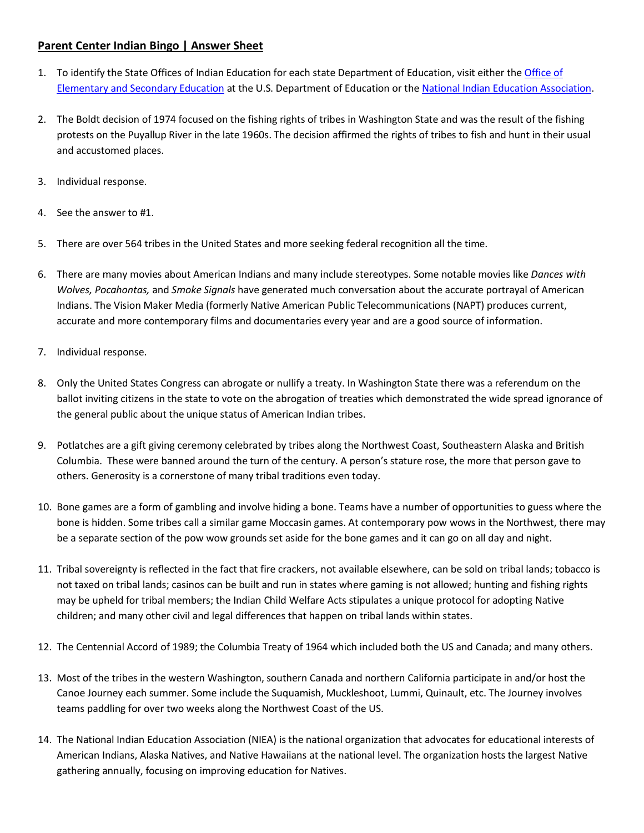## **Parent Center Indian Bingo | Answer Sheet**

- 1. To identify the State Offices of Indian Education for each state Department of Education, visit either the Office of [Elementary and Secondary Education](https://www2.ed.gov/about/offices/list/oese/oie/statecontacts.html) at the U.S. Department of Education or the [National Indian Education Association.](http://www.niea.org/get-involved/state-indian-education-offices/)
- 2. The Boldt decision of 1974 focused on the fishing rights of tribes in Washington State and was the result of the fishing protests on the Puyallup River in the late 1960s. The decision affirmed the rights of tribes to fish and hunt in their usual and accustomed places.
- 3. Individual response.
- 4. See the answer to #1.
- 5. There are over 564 tribes in the United States and more seeking federal recognition all the time.
- 6. There are many movies about American Indians and many include stereotypes. Some notable movies like *Dances with Wolves, Pocahontas,* and *Smoke Signals* have generated much conversation about the accurate portrayal of American Indians. The Vision Maker Media (formerly Native American Public Telecommunications (NAPT) produces current, accurate and more contemporary films and documentaries every year and are a good source of information.
- 7. Individual response.
- 8. Only the United States Congress can abrogate or nullify a treaty. In Washington State there was a referendum on the ballot inviting citizens in the state to vote on the abrogation of treaties which demonstrated the wide spread ignorance of the general public about the unique status of American Indian tribes.
- 9. Potlatches are a gift giving ceremony celebrated by tribes along the Northwest Coast, Southeastern Alaska and British Columbia. These were banned around the turn of the century. A person's stature rose, the more that person gave to others. Generosity is a cornerstone of many tribal traditions even today.
- 10. Bone games are a form of gambling and involve hiding a bone. Teams have a number of opportunities to guess where the bone is hidden. Some tribes call a similar game Moccasin games. At contemporary pow wows in the Northwest, there may be a separate section of the pow wow grounds set aside for the bone games and it can go on all day and night.
- 11. Tribal sovereignty is reflected in the fact that fire crackers, not available elsewhere, can be sold on tribal lands; tobacco is not taxed on tribal lands; casinos can be built and run in states where gaming is not allowed; hunting and fishing rights may be upheld for tribal members; the Indian Child Welfare Acts stipulates a unique protocol for adopting Native children; and many other civil and legal differences that happen on tribal lands within states.
- 12. The Centennial Accord of 1989; the Columbia Treaty of 1964 which included both the US and Canada; and many others.
- 13. Most of the tribes in the western Washington, southern Canada and northern California participate in and/or host the Canoe Journey each summer. Some include the Suquamish, Muckleshoot, Lummi, Quinault, etc. The Journey involves teams paddling for over two weeks along the Northwest Coast of the US.
- 14. The National Indian Education Association (NIEA) is the national organization that advocates for educational interests of American Indians, Alaska Natives, and Native Hawaiians at the national level. The organization hosts the largest Native gathering annually, focusing on improving education for Natives.